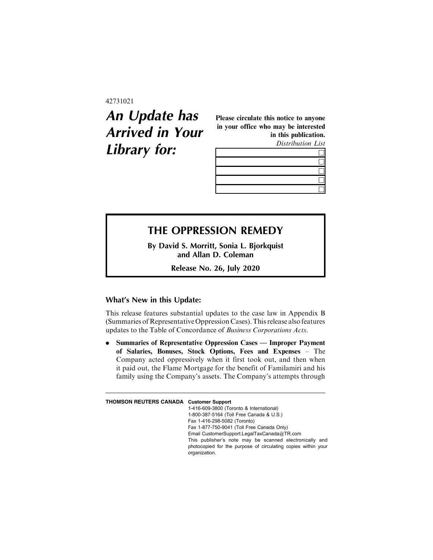#### 42731021

# **An Update has Arrived in Your Library for:**

Please circulate this notice to anyone in your office who may be interested in this publication.

Distribution List

## **THE OPPRESSION REMEDY**

**By David S. Morritt, Sonia L. Bjorkquist and Allan D. Coleman**

**Release No. 26, July 2020**

### **What's New in this Update:**

This release features substantial updates to the case law in Appendix B (Summaries of Representative Oppression Cases). This release also features updates to the Table of Concordance of Business Corporations Acts.

. Summaries of Representative Oppression Cases — Improper Payment of Salaries, Bonuses, Stock Options, Fees and Expenses – The Company acted oppressively when it first took out, and then when it paid out, the Flame Mortgage for the benefit of Familamiri and his family using the Company's assets. The Company's attempts through

**THOMSON REUTERS CANADA Customer Support**

1-416-609-3800 (Toronto & International) 1-800-387-5164 (Toll Free Canada & U.S.) Fax 1-416-298-5082 (Toronto) Fax 1-877-750-9041 (Toll Free Canada Only) Email CustomerSupport.LegalTaxCanada@TR.com This publisher's note may be scanned electronically and photocopied for the purpose of circulating copies within your organization.